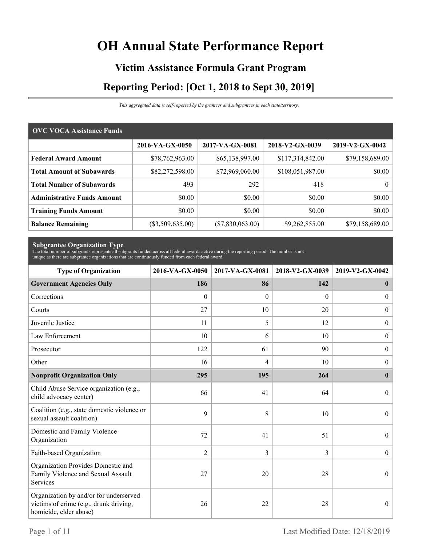# **OH Annual State Performance Report**

# **Victim Assistance Formula Grant Program Reporting Period: [Oct 1, 2018 to Sept 30, 2019]**

*This aggregated data is self-reported by the grantees and subgrantees in each state/territory.*

| <b>OVC VOCA Assistance Funds</b>   |                  |                  |                  |                 |  |  |  |
|------------------------------------|------------------|------------------|------------------|-----------------|--|--|--|
|                                    | 2016-VA-GX-0050  | 2017-VA-GX-0081  | 2018-V2-GX-0039  | 2019-V2-GX-0042 |  |  |  |
| <b>Federal Award Amount</b>        | \$78,762,963.00  | \$65,138,997.00  | \$117,314,842.00 | \$79,158,689.00 |  |  |  |
| <b>Total Amount of Subawards</b>   | \$82,272,598.00  | \$72,969,060.00  | \$108,051,987.00 | \$0.00          |  |  |  |
| <b>Total Number of Subawards</b>   | 493              | 292              | 418              | $\theta$        |  |  |  |
| <b>Administrative Funds Amount</b> | \$0.00           | \$0.00           | \$0.00           | \$0.00          |  |  |  |
| <b>Training Funds Amount</b>       | \$0.00           | \$0.00           | \$0.00           | \$0.00          |  |  |  |
| <b>Balance Remaining</b>           | (\$3,509,635.00) | (\$7,830,063.00) | \$9,262,855.00   | \$79,158,689.00 |  |  |  |

**Subgrantee Organization Type** The total number of subgrants represents all subgrants funded across all federal awards active during the reporting period. The number is not unique as there are subgrantee organizations that are continuously funded from each federal award.

| <b>Type of Organization</b>                                                                                | 2016-VA-GX-0050 | 2017-VA-GX-0081 | 2018-V2-GX-0039 | 2019-V2-GX-0042  |
|------------------------------------------------------------------------------------------------------------|-----------------|-----------------|-----------------|------------------|
| <b>Government Agencies Only</b>                                                                            | 186             | 86              | 142             | $\mathbf{0}$     |
| Corrections                                                                                                | $\theta$        | $\theta$        | $\theta$        | $\overline{0}$   |
| Courts                                                                                                     | 27              | 10              | 20              | $\boldsymbol{0}$ |
| Juvenile Justice                                                                                           | 11              | 5               | 12              | $\boldsymbol{0}$ |
| Law Enforcement                                                                                            | 10              | 6               | 10              | $\boldsymbol{0}$ |
| Prosecutor                                                                                                 | 122             | 61              | 90              | $\boldsymbol{0}$ |
| Other                                                                                                      | 16              | 4               | 10              | $\boldsymbol{0}$ |
| <b>Nonprofit Organization Only</b>                                                                         | 295             | 195             | 264             | $\bf{0}$         |
| Child Abuse Service organization (e.g.,<br>child advocacy center)                                          | 66              | 41              | 64              | $\theta$         |
| Coalition (e.g., state domestic violence or<br>sexual assault coalition)                                   | 9               | 8               | 10              | $\mathbf{0}$     |
| Domestic and Family Violence<br>Organization                                                               | 72              | 41              | 51              | $\overline{0}$   |
| Faith-based Organization                                                                                   | $\overline{2}$  | 3               | 3               | $\boldsymbol{0}$ |
| Organization Provides Domestic and<br>Family Violence and Sexual Assault<br>Services                       | 27              | 20              | 28              | $\mathbf{0}$     |
| Organization by and/or for underserved<br>victims of crime (e.g., drunk driving,<br>homicide, elder abuse) | 26              | 22              | 28              | $\boldsymbol{0}$ |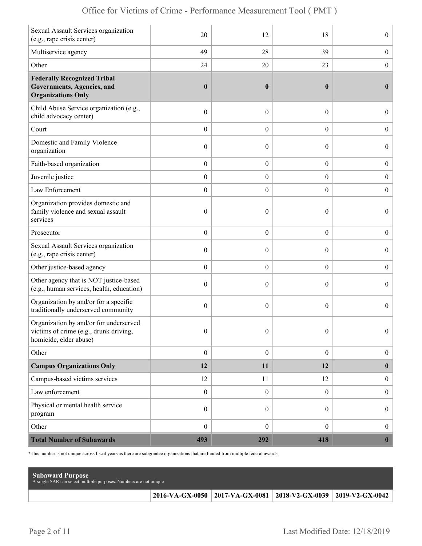|  | Office for Victims of Crime - Performance Measurement Tool (PMT) |  |  |  |  |
|--|------------------------------------------------------------------|--|--|--|--|
|--|------------------------------------------------------------------|--|--|--|--|

| Sexual Assault Services organization<br>(e.g., rape crisis center)                                         | 20               | 12               | 18               | $\boldsymbol{0}$ |
|------------------------------------------------------------------------------------------------------------|------------------|------------------|------------------|------------------|
| Multiservice agency                                                                                        | 49               | 28               | 39               | $\boldsymbol{0}$ |
| Other                                                                                                      | 24               | 20               | 23               | $\boldsymbol{0}$ |
| <b>Federally Recognized Tribal</b><br><b>Governments, Agencies, and</b><br><b>Organizations Only</b>       | $\boldsymbol{0}$ | $\boldsymbol{0}$ | $\bf{0}$         | $\bf{0}$         |
| Child Abuse Service organization (e.g.,<br>child advocacy center)                                          | $\boldsymbol{0}$ | $\mathbf{0}$     | $\theta$         | $\overline{0}$   |
| Court                                                                                                      | $\boldsymbol{0}$ | $\theta$         | $\boldsymbol{0}$ | $\boldsymbol{0}$ |
| Domestic and Family Violence<br>organization                                                               | $\boldsymbol{0}$ | 0                | $\boldsymbol{0}$ | $\boldsymbol{0}$ |
| Faith-based organization                                                                                   | $\boldsymbol{0}$ | $\boldsymbol{0}$ | $\boldsymbol{0}$ | $\boldsymbol{0}$ |
| Juvenile justice                                                                                           | $\boldsymbol{0}$ | $\overline{0}$   | $\overline{0}$   | $\boldsymbol{0}$ |
| Law Enforcement                                                                                            | $\boldsymbol{0}$ | $\boldsymbol{0}$ | $\boldsymbol{0}$ | $\boldsymbol{0}$ |
| Organization provides domestic and<br>family violence and sexual assault<br>services                       | $\boldsymbol{0}$ | $\mathbf{0}$     | $\theta$         | $\overline{0}$   |
| Prosecutor                                                                                                 | $\boldsymbol{0}$ | $\theta$         | $\boldsymbol{0}$ | $\boldsymbol{0}$ |
| Sexual Assault Services organization<br>(e.g., rape crisis center)                                         | $\boldsymbol{0}$ | $\theta$         | $\theta$         | $\boldsymbol{0}$ |
| Other justice-based agency                                                                                 | $\boldsymbol{0}$ | $\boldsymbol{0}$ | $\boldsymbol{0}$ | $\boldsymbol{0}$ |
| Other agency that is NOT justice-based<br>(e.g., human services, health, education)                        | $\boldsymbol{0}$ | $\theta$         | $\theta$         | $\boldsymbol{0}$ |
| Organization by and/or for a specific<br>traditionally underserved community                               | $\boldsymbol{0}$ | $\theta$         | $\boldsymbol{0}$ | $\overline{0}$   |
| Organization by and/or for underserved<br>victims of crime (e.g., drunk driving,<br>homicide, elder abuse) | $\boldsymbol{0}$ | $\boldsymbol{0}$ | $\boldsymbol{0}$ | $\Omega$         |
| Other                                                                                                      | $\boldsymbol{0}$ | $\boldsymbol{0}$ | $\boldsymbol{0}$ | $\boldsymbol{0}$ |
| <b>Campus Organizations Only</b>                                                                           | 12               | 11               | 12               | $\bf{0}$         |
| Campus-based victims services                                                                              | 12               | 11               | 12               | $\boldsymbol{0}$ |
| Law enforcement                                                                                            | $\boldsymbol{0}$ | $\mathbf{0}$     | $\mathbf{0}$     | $\boldsymbol{0}$ |
| Physical or mental health service<br>program                                                               | $\boldsymbol{0}$ | $\boldsymbol{0}$ | $\overline{0}$   | $\boldsymbol{0}$ |
| Other                                                                                                      | $\boldsymbol{0}$ | $\boldsymbol{0}$ | $\overline{0}$   | $\boldsymbol{0}$ |
| <b>Total Number of Subawards</b>                                                                           | 493              | 292              | 418              | $\boldsymbol{0}$ |

\*This number is not unique across fiscal years as there are subgrantee organizations that are funded from multiple federal awards.

| <b>Subaward Purpose</b><br>A single SAR can select multiple purposes. Numbers are not unique |                                                                 |  |
|----------------------------------------------------------------------------------------------|-----------------------------------------------------------------|--|
|                                                                                              | 2016-VA-GX-0050 2017-VA-GX-0081 2018-V2-GX-0039 2019-V2-GX-0042 |  |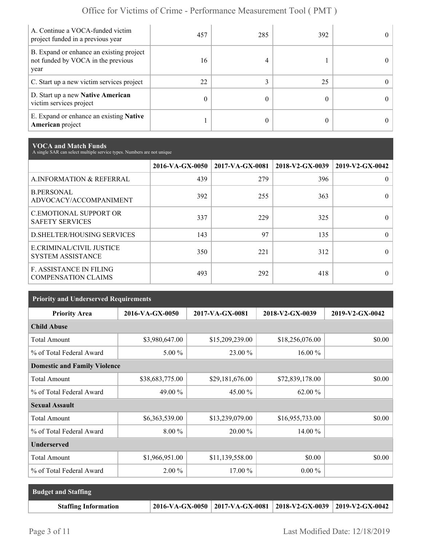| A. Continue a VOCA-funded victim<br>project funded in a previous year                  | 457 | 285 | 392 | $^{\circ}$ |
|----------------------------------------------------------------------------------------|-----|-----|-----|------------|
| B. Expand or enhance an existing project<br>not funded by VOCA in the previous<br>year | 16  |     |     | $_{0}$     |
| C. Start up a new victim services project                                              | 22  |     | 25  | 0          |
| D. Start up a new Native American<br>victim services project                           | 0   |     |     | $^{\circ}$ |
| E. Expand or enhance an existing <b>Native</b><br>American project                     |     |     |     |            |

**VOCA and Match Funds** A single SAR can select multiple service types. Numbers are not unique

|                                                              | 2016-VA-GX-0050 | 2017-VA-GX-0081 | 2018-V2-GX-0039 | 2019-V2-GX-0042 |
|--------------------------------------------------------------|-----------------|-----------------|-----------------|-----------------|
| A.INFORMATION & REFERRAL                                     | 439             | 279             | 396             | 0               |
| <b>B.PERSONAL</b><br>ADVOCACY/ACCOMPANIMENT                  | 392             | 255             | 363             |                 |
| <b>C.EMOTIONAL SUPPORT OR</b><br><b>SAFETY SERVICES</b>      | 337             | 229             | 325             | 0               |
| D. SHELTER/HOUSING SERVICES                                  | 143             | 97              | 135             | 0               |
| E.CRIMINAL/CIVIL JUSTICE<br><b>SYSTEM ASSISTANCE</b>         | 350             | 221             | 312             |                 |
| <b>F. ASSISTANCE IN FILING</b><br><b>COMPENSATION CLAIMS</b> | 493             | 292             | 418             | 0               |

| <b>Priority and Underserved Requirements</b> |                 |                 |                 |                 |  |  |  |
|----------------------------------------------|-----------------|-----------------|-----------------|-----------------|--|--|--|
| <b>Priority Area</b>                         | 2016-VA-GX-0050 | 2017-VA-GX-0081 | 2018-V2-GX-0039 | 2019-V2-GX-0042 |  |  |  |
| <b>Child Abuse</b>                           |                 |                 |                 |                 |  |  |  |
| <b>Total Amount</b>                          | \$3,980,647.00  | \$15,209,239.00 | \$18,256,076.00 | \$0.00          |  |  |  |
| % of Total Federal Award                     | 5.00 %          | 23.00 %         | 16.00 %         |                 |  |  |  |
| <b>Domestic and Family Violence</b>          |                 |                 |                 |                 |  |  |  |
| <b>Total Amount</b>                          | \$38,683,775.00 | \$29,181,676.00 | \$72,839,178.00 | \$0.00          |  |  |  |
| % of Total Federal Award                     | 49.00 %         | 45.00 %         | $62.00\%$       |                 |  |  |  |
| <b>Sexual Assault</b>                        |                 |                 |                 |                 |  |  |  |
| <b>Total Amount</b>                          | \$6,363,539.00  | \$13,239,079.00 | \$16,955,733.00 | \$0.00          |  |  |  |
| % of Total Federal Award                     | $8.00\%$        | 20.00 %         | 14.00 %         |                 |  |  |  |
| <b>Underserved</b>                           |                 |                 |                 |                 |  |  |  |
| <b>Total Amount</b>                          | \$1,966,951.00  | \$11,139,558.00 | \$0.00          | \$0.00          |  |  |  |
| % of Total Federal Award                     | $2.00\%$        | $17.00\%$       | $0.00\%$        |                 |  |  |  |

| <b>Budget and Staffing</b>  |                                                                       |  |
|-----------------------------|-----------------------------------------------------------------------|--|
| <b>Staffing Information</b> | 2016-VA-GX-0050   2017-VA-GX-0081   2018-V2-GX-0039   2019-V2-GX-0042 |  |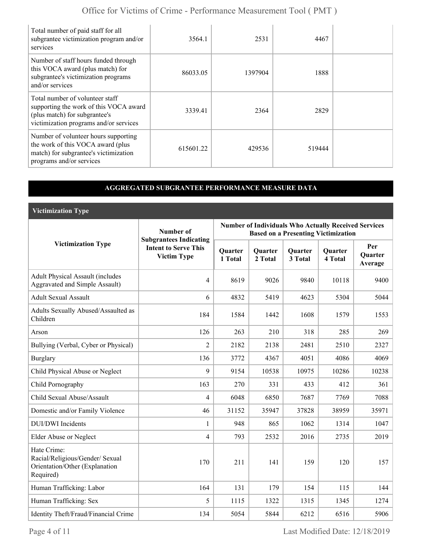| Total number of paid staff for all<br>subgrantee victimization program and/or<br>services                                                            | 3564.1    | 2531    | 4467   |  |
|------------------------------------------------------------------------------------------------------------------------------------------------------|-----------|---------|--------|--|
| Number of staff hours funded through<br>this VOCA award (plus match) for<br>subgrantee's victimization programs<br>and/or services                   | 86033.05  | 1397904 | 1888   |  |
| Total number of volunteer staff<br>supporting the work of this VOCA award<br>(plus match) for subgrantee's<br>victimization programs and/or services | 3339.41   | 2364    | 2829   |  |
| Number of volunteer hours supporting<br>the work of this VOCA award (plus<br>match) for subgrantee's victimization<br>programs and/or services       | 615601.22 | 429536  | 519444 |  |

### **AGGREGATED SUBGRANTEE PERFORMANCE MEASURE DATA**

**Victimization Type**

|                                                                                               | Number of                                                                          | <b>Number of Individuals Who Actually Received Services</b><br><b>Based on a Presenting Victimization</b> |                    |                    |                           |                                  |
|-----------------------------------------------------------------------------------------------|------------------------------------------------------------------------------------|-----------------------------------------------------------------------------------------------------------|--------------------|--------------------|---------------------------|----------------------------------|
| <b>Victimization Type</b>                                                                     | <b>Subgrantees Indicating</b><br><b>Intent to Serve This</b><br><b>Victim Type</b> | <b>Quarter</b><br>1 Total                                                                                 | Quarter<br>2 Total | Quarter<br>3 Total | <b>Quarter</b><br>4 Total | Per<br><b>Ouarter</b><br>Average |
| <b>Adult Physical Assault (includes</b><br><b>Aggravated and Simple Assault)</b>              | $\overline{4}$                                                                     | 8619                                                                                                      | 9026               | 9840               | 10118                     | 9400                             |
| <b>Adult Sexual Assault</b>                                                                   | 6                                                                                  | 4832                                                                                                      | 5419               | 4623               | 5304                      | 5044                             |
| Adults Sexually Abused/Assaulted as<br>Children                                               | 184                                                                                | 1584                                                                                                      | 1442               | 1608               | 1579                      | 1553                             |
| Arson                                                                                         | 126                                                                                | 263                                                                                                       | 210                | 318                | 285                       | 269                              |
| Bullying (Verbal, Cyber or Physical)                                                          | $\overline{2}$                                                                     | 2182                                                                                                      | 2138               | 2481               | 2510                      | 2327                             |
| <b>Burglary</b>                                                                               | 136                                                                                | 3772                                                                                                      | 4367               | 4051               | 4086                      | 4069                             |
| Child Physical Abuse or Neglect                                                               | 9                                                                                  | 9154                                                                                                      | 10538              | 10975              | 10286                     | 10238                            |
| Child Pornography                                                                             | 163                                                                                | 270                                                                                                       | 331                | 433                | 412                       | 361                              |
| Child Sexual Abuse/Assault                                                                    | $\overline{4}$                                                                     | 6048                                                                                                      | 6850               | 7687               | 7769                      | 7088                             |
| Domestic and/or Family Violence                                                               | 46                                                                                 | 31152                                                                                                     | 35947              | 37828              | 38959                     | 35971                            |
| <b>DUI/DWI</b> Incidents                                                                      | 1                                                                                  | 948                                                                                                       | 865                | 1062               | 1314                      | 1047                             |
| <b>Elder Abuse or Neglect</b>                                                                 | $\overline{4}$                                                                     | 793                                                                                                       | 2532               | 2016               | 2735                      | 2019                             |
| Hate Crime:<br>Racial/Religious/Gender/ Sexual<br>Orientation/Other (Explanation<br>Required) | 170                                                                                | 211                                                                                                       | 141                | 159                | 120                       | 157                              |
| Human Trafficking: Labor                                                                      | 164                                                                                | 131                                                                                                       | 179                | 154                | 115                       | 144                              |
| Human Trafficking: Sex                                                                        | 5                                                                                  | 1115                                                                                                      | 1322               | 1315               | 1345                      | 1274                             |
| Identity Theft/Fraud/Financial Crime                                                          | 134                                                                                | 5054                                                                                                      | 5844               | 6212               | 6516                      | 5906                             |

Page 4 of 11 Last Modified Date: 12/18/2019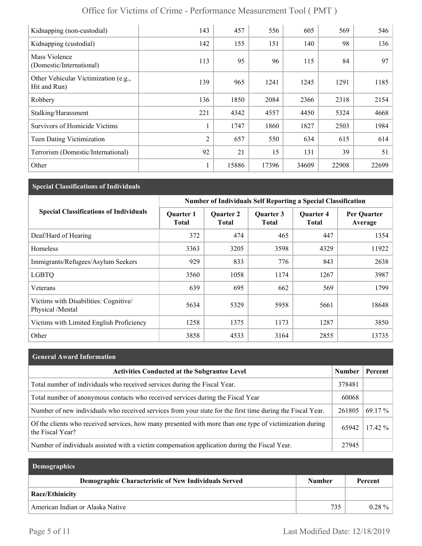| Kidnapping (non-custodial)                           | 143            | 457   | 556   | 605   | 569   | 546   |
|------------------------------------------------------|----------------|-------|-------|-------|-------|-------|
| Kidnapping (custodial)                               | 142            | 155   | 151   | 140   | 98    | 136   |
| Mass Violence<br>(Domestic/International)            | 113            | 95    | 96    | 115   | 84    | 97    |
| Other Vehicular Victimization (e.g.,<br>Hit and Run) | 139            | 965   | 1241  | 1245  | 1291  | 1185  |
| Robbery                                              | 136            | 1850  | 2084  | 2366  | 2318  | 2154  |
| Stalking/Harassment                                  | 221            | 4342  | 4557  | 4450  | 5324  | 4668  |
| <b>Survivors of Homicide Victims</b>                 | 1              | 1747  | 1860  | 1827  | 2503  | 1984  |
| Teen Dating Victimization                            | $\overline{2}$ | 657   | 550   | 634   | 615   | 614   |
| Terrorism (Domestic/International)                   | 92             | 21    | 15    | 131   | 39    | 51    |
| Other                                                | 1              | 15886 | 17396 | 34609 | 22908 | 22699 |

## **Special Classifications of Individuals**

|                                                           | <b>Number of Individuals Self Reporting a Special Classification</b> |                                  |                           |                                  |                        |
|-----------------------------------------------------------|----------------------------------------------------------------------|----------------------------------|---------------------------|----------------------------------|------------------------|
| <b>Special Classifications of Individuals</b>             | <b>Quarter 1</b><br><b>Total</b>                                     | <b>Quarter 2</b><br><b>Total</b> | Quarter 3<br><b>Total</b> | <b>Quarter 4</b><br><b>Total</b> | Per Quarter<br>Average |
| Deaf/Hard of Hearing                                      | 372                                                                  | 474                              | 465                       | 447                              | 1354                   |
| Homeless                                                  | 3363                                                                 | 3205                             | 3598                      | 4329                             | 11922                  |
| Immigrants/Refugees/Asylum Seekers                        | 929                                                                  | 833                              | 776                       | 843                              | 2638                   |
| <b>LGBTQ</b>                                              | 3560                                                                 | 1058                             | 1174                      | 1267                             | 3987                   |
| Veterans                                                  | 639                                                                  | 695                              | 662                       | 569                              | 1799                   |
| Victims with Disabilities: Cognitive/<br>Physical /Mental | 5634                                                                 | 5329                             | 5958                      | 5661                             | 18648                  |
| Victims with Limited English Proficiency                  | 1258                                                                 | 1375                             | 1173                      | 1287                             | 3850                   |
| Other                                                     | 3858                                                                 | 4533                             | 3164                      | 2855                             | 13735                  |

### **General Award Information**

| <b>Activities Conducted at the Subgrantee Level</b>                                                                          | Number | Percent   |
|------------------------------------------------------------------------------------------------------------------------------|--------|-----------|
| Total number of individuals who received services during the Fiscal Year.                                                    | 378481 |           |
| Total number of anonymous contacts who received services during the Fiscal Year                                              | 60068  |           |
| Number of new individuals who received services from your state for the first time during the Fiscal Year.                   | 261805 | 69.17 %   |
| Of the clients who received services, how many presented with more than one type of victimization during<br>the Fiscal Year? | 65942  | $17.42\%$ |
| Number of individuals assisted with a victim compensation application during the Fiscal Year.                                | 27945  |           |

| <b>Demographics</b>                                  |               |           |
|------------------------------------------------------|---------------|-----------|
| Demographic Characteristic of New Individuals Served | <b>Number</b> | Percent   |
| Race/Ethinicity                                      |               |           |
| American Indian or Alaska Native                     | 735           | $0.28 \%$ |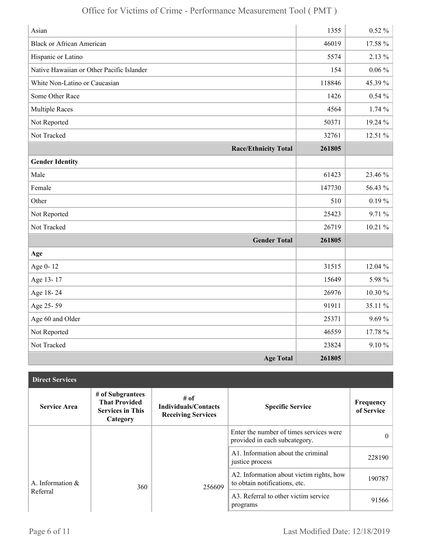| Asian                                     | 1355   | $0.52 \%$  |
|-------------------------------------------|--------|------------|
| <b>Black or African American</b>          | 46019  | 17.58 %    |
| Hispanic or Latino                        | 5574   | 2.13 %     |
| Native Hawaiian or Other Pacific Islander | 154    | $0.06\,\%$ |
| White Non-Latino or Caucasian             | 118846 | 45.39%     |
| Some Other Race                           | 1426   | $0.54\%$   |
| <b>Multiple Races</b>                     | 4564   | 1.74%      |
| Not Reported                              | 50371  | 19.24 %    |
| Not Tracked                               | 32761  | 12.51 %    |
| <b>Race/Ethnicity Total</b>               | 261805 |            |
| <b>Gender Identity</b>                    |        |            |
| Male                                      | 61423  | 23.46 %    |
| Female                                    | 147730 | 56.43 %    |
| Other                                     | 510    | $0.19\%$   |
| Not Reported                              | 25423  | 9.71 %     |
| Not Tracked                               | 26719  | 10.21%     |
| <b>Gender Total</b>                       | 261805 |            |
| Age                                       |        |            |
| Age 0-12                                  | 31515  | 12.04 %    |
| Age 13-17                                 | 15649  | 5.98 %     |
| Age 18-24                                 | 26976  | 10.30%     |
| Age 25-59                                 | 91911  | 35.11 %    |
| Age 60 and Older                          | 25371  | 9.69%      |
| Not Reported                              | 46559  | 17.78 %    |
| Not Tracked                               | 23824  | $9.10 \%$  |
| <b>Age Total</b>                          | 261805 |            |

| <b>Direct Services</b> |                                                                                 |                                                                  |                                                                           |                         |
|------------------------|---------------------------------------------------------------------------------|------------------------------------------------------------------|---------------------------------------------------------------------------|-------------------------|
| <b>Service Area</b>    | # of Subgrantees<br><b>That Provided</b><br><b>Services in This</b><br>Category | # of<br><b>Individuals/Contacts</b><br><b>Receiving Services</b> | <b>Specific Service</b>                                                   | Frequency<br>of Service |
|                        |                                                                                 |                                                                  | Enter the number of times services were<br>provided in each subcategory.  | $\theta$                |
|                        |                                                                                 |                                                                  | A1. Information about the criminal<br>justice process                     | 228190                  |
| A. Information $\&$    | 360                                                                             | 256609                                                           | A2. Information about victim rights, how<br>to obtain notifications, etc. | 190787                  |
| Referral               |                                                                                 |                                                                  | A3. Referral to other victim service<br>programs                          | 91566                   |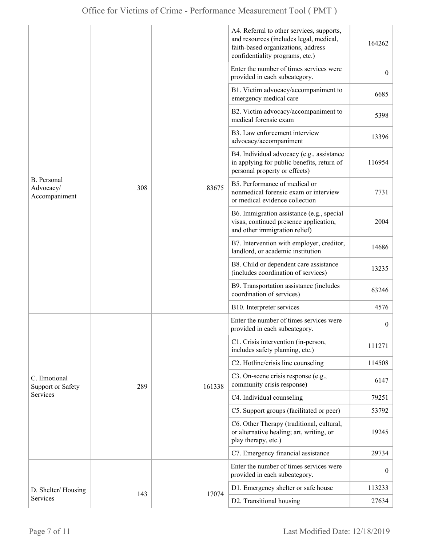|                                           |     |        | A4. Referral to other services, supports,<br>and resources (includes legal, medical,<br>faith-based organizations, address<br>confidentiality programs, etc.) | 164262           |
|-------------------------------------------|-----|--------|---------------------------------------------------------------------------------------------------------------------------------------------------------------|------------------|
| B. Personal<br>Advocacy/<br>Accompaniment |     | 83675  | Enter the number of times services were<br>provided in each subcategory.                                                                                      | $\overline{0}$   |
|                                           |     |        | B1. Victim advocacy/accompaniment to<br>emergency medical care                                                                                                | 6685             |
|                                           |     |        | B2. Victim advocacy/accompaniment to<br>medical forensic exam                                                                                                 | 5398             |
|                                           |     |        | B3. Law enforcement interview<br>advocacy/accompaniment                                                                                                       | 13396            |
|                                           |     |        | B4. Individual advocacy (e.g., assistance<br>in applying for public benefits, return of<br>personal property or effects)                                      | 116954           |
|                                           | 308 |        | B5. Performance of medical or<br>nonmedical forensic exam or interview<br>or medical evidence collection                                                      | 7731             |
|                                           |     |        | B6. Immigration assistance (e.g., special<br>visas, continued presence application,<br>and other immigration relief)                                          | 2004             |
|                                           |     |        | B7. Intervention with employer, creditor,<br>landlord, or academic institution                                                                                | 14686            |
|                                           |     |        | B8. Child or dependent care assistance<br>(includes coordination of services)                                                                                 | 13235            |
|                                           |     |        | B9. Transportation assistance (includes<br>coordination of services)                                                                                          | 63246            |
|                                           |     |        | B10. Interpreter services                                                                                                                                     | 4576             |
|                                           |     |        | Enter the number of times services were<br>provided in each subcategory.                                                                                      | $\boldsymbol{0}$ |
|                                           |     | 161338 | C1. Crisis intervention (in-person,<br>includes safety planning, etc.)                                                                                        | 111271           |
|                                           |     |        | C2. Hotline/crisis line counseling                                                                                                                            | 114508           |
| C. Emotional<br><b>Support or Safety</b>  | 289 |        | C3. On-scene crisis response (e.g.,<br>community crisis response)                                                                                             | 6147             |
| Services                                  |     |        | C4. Individual counseling                                                                                                                                     | 79251            |
|                                           |     |        | C5. Support groups (facilitated or peer)                                                                                                                      | 53792            |
|                                           |     |        | C6. Other Therapy (traditional, cultural,<br>or alternative healing; art, writing, or<br>play therapy, etc.)                                                  | 19245            |
|                                           |     |        | C7. Emergency financial assistance                                                                                                                            | 29734            |
|                                           |     |        | Enter the number of times services were<br>provided in each subcategory.                                                                                      | $\overline{0}$   |
| D. Shelter/Housing                        |     |        | D1. Emergency shelter or safe house                                                                                                                           | 113233           |
| Services                                  | 143 | 17074  | D2. Transitional housing                                                                                                                                      | 27634            |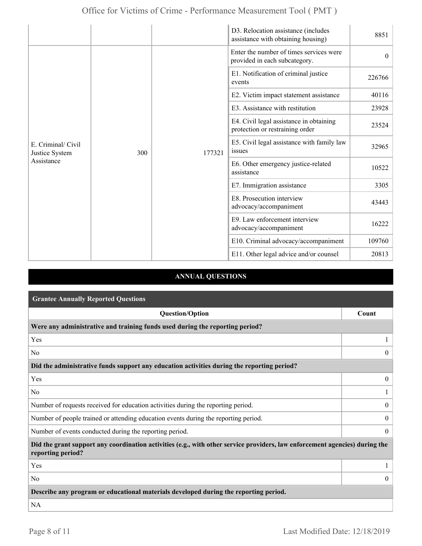|                                                    |     |        | D3. Relocation assistance (includes<br>assistance with obtaining housing)  | 8851     |
|----------------------------------------------------|-----|--------|----------------------------------------------------------------------------|----------|
| E. Criminal/ Civil<br>Justice System<br>Assistance |     | 177321 | Enter the number of times services were<br>provided in each subcategory.   | $\theta$ |
|                                                    |     |        | E1. Notification of criminal justice<br>events                             | 226766   |
|                                                    |     |        | E2. Victim impact statement assistance                                     | 40116    |
|                                                    |     |        | E3. Assistance with restitution                                            | 23928    |
|                                                    |     |        | E4. Civil legal assistance in obtaining<br>protection or restraining order | 23524    |
|                                                    | 300 |        | E5. Civil legal assistance with family law<br>issues                       | 32965    |
|                                                    |     |        | E6. Other emergency justice-related<br>assistance                          | 10522    |
|                                                    |     |        | E7. Immigration assistance                                                 | 3305     |
|                                                    |     |        | E8. Prosecution interview<br>advocacy/accompaniment                        | 43443    |
|                                                    |     |        | E9. Law enforcement interview<br>advocacy/accompaniment                    | 16222    |
|                                                    |     |        | E10. Criminal advocacy/accompaniment                                       | 109760   |
|                                                    |     |        | E11. Other legal advice and/or counsel                                     | 20813    |

### **ANNUAL QUESTIONS**

| <b>Grantee Annually Reported Questions</b>                                                                                                       |                |  |  |
|--------------------------------------------------------------------------------------------------------------------------------------------------|----------------|--|--|
| <b>Question/Option</b>                                                                                                                           | Count          |  |  |
| Were any administrative and training funds used during the reporting period?                                                                     |                |  |  |
| Yes                                                                                                                                              |                |  |  |
| N <sub>0</sub>                                                                                                                                   | $\theta$       |  |  |
| Did the administrative funds support any education activities during the reporting period?                                                       |                |  |  |
| Yes                                                                                                                                              | $\mathbf{0}$   |  |  |
| N <sub>0</sub>                                                                                                                                   |                |  |  |
| Number of requests received for education activities during the reporting period.                                                                | $\overline{0}$ |  |  |
| Number of people trained or attending education events during the reporting period.                                                              | $\overline{0}$ |  |  |
| Number of events conducted during the reporting period.                                                                                          |                |  |  |
| Did the grant support any coordination activities (e.g., with other service providers, law enforcement agencies) during the<br>reporting period? |                |  |  |
| Yes                                                                                                                                              |                |  |  |
| N <sub>0</sub>                                                                                                                                   | $\overline{0}$ |  |  |
| Describe any program or educational materials developed during the reporting period.                                                             |                |  |  |
| <b>NA</b>                                                                                                                                        |                |  |  |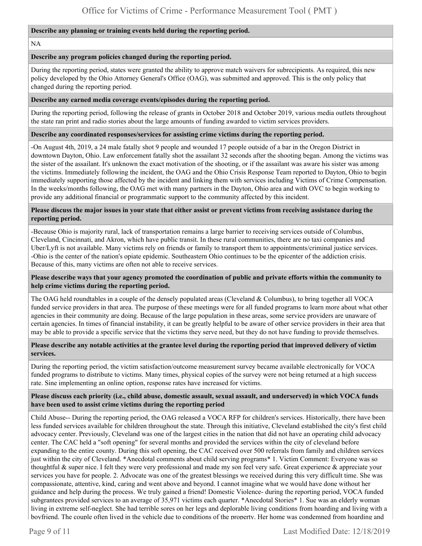#### **Describe any planning or training events held during the reporting period.**

NA

#### **Describe any program policies changed during the reporting period.**

During the reporting period, states were granted the ability to approve match waivers for subrecipients. As required, this new policy developed by the Ohio Attorney General's Office (OAG), was submitted and approved. This is the only policy that changed during the reporting period.

#### **Describe any earned media coverage events/episodes during the reporting period.**

During the reporting period, following the release of grants in October 2018 and October 2019, various media outlets throughout the state ran print and radio stories about the large amounts of funding awarded to victim services providers.

#### **Describe any coordinated responses/services for assisting crime victims during the reporting period.**

-On August 4th, 2019, a 24 male fatally shot 9 people and wounded 17 people outside of a bar in the Oregon District in downtown Dayton, Ohio. Law enforcement fatally shot the assailant 32 seconds after the shooting began. Among the victims was the sister of the assailant. It's unknown the exact motivation of the shooting, or if the assailant was aware his sister was among the victims. Immediately following the incident, the OAG and the Ohio Crisis Response Team reported to Dayton, Ohio to begin immediately supporting those affected by the incident and linking them with services including Victims of Crime Compensation. In the weeks/months following, the OAG met with many partners in the Dayton, Ohio area and with OVC to begin working to provide any additional financial or programmatic support to the community affected by this incident.

#### **Please discuss the major issues in your state that either assist or prevent victims from receiving assistance during the reporting period.**

-Because Ohio is majority rural, lack of transportation remains a large barrier to receiving services outside of Columbus, Cleveland, Cincinnati, and Akron, which have public transit. In these rural communities, there are no taxi companies and Uber/Lyft is not available. Many victims rely on friends or family to transport them to appointments/criminal justice services. -Ohio is the center of the nation's opiate epidemic. Southeastern Ohio continues to be the epicenter of the addiction crisis. Because of this, many victims are often not able to receive services.

#### **Please describe ways that your agency promoted the coordination of public and private efforts within the community to help crime victims during the reporting period.**

The OAG held roundtables in a couple of the densely populated areas (Cleveland & Columbus), to bring together all VOCA funded service providers in that area. The purpose of these meetings were for all funded programs to learn more about what other agencies in their community are doing. Because of the large population in these areas, some service providers are unaware of certain agencies. In times of financial instability, it can be greatly helpful to be aware of other service providers in their area that may be able to provide a specific service that the victims they serve need, but they do not have funding to provide themselves.

#### **Please describe any notable activities at the grantee level during the reporting period that improved delivery of victim services.**

During the reporting period, the victim satisfaction/outcome measurement survey became available electronically for VOCA funded programs to distribute to victims. Many times, physical copies of the survey were not being returned at a high success rate. Sine implementing an online option, response rates have increased for victims.

#### **Please discuss each priority (i.e., child abuse, domestic assault, sexual assault, and underserved) in which VOCA funds have been used to assist crime victims during the reporting period**

Child Abuse-- During the reporting period, the OAG released a VOCA RFP for children's services. Historically, there have been less funded services available for children throughout the state. Through this initiative, Cleveland established the city's first child advocacy center. Previously, Cleveland was one of the largest cities in the nation that did not have an operating child advocacy center. The CAC held a "soft opening" for several months and provided the services within the city of cleveland before expanding to the entire county. During this soft opening, the CAC received over 500 referrals from family and children services just within the city of Cleveland. \*Anecdotal comments about child serving programs\* 1. Victim Comment: Everyone was so thoughtful  $\&$  super nice. I felt they were very professional and made my son feel very safe. Great experience  $\&$  appreciate your services you have for people. 2. Advocate was one of the greatest blessings we received during this very difficult time. She was compassionate, attentive, kind, caring and went above and beyond. I cannot imagine what we would have done without her guidance and help during the process. We truly gained a friend! Domestic Violence- during the reporting period, VOCA funded subgrantees provided services to an average of 35,971 victims each quarter. \*Anecdotal Stories\* 1. Sue was an elderly woman living in extreme self-neglect. She had terrible sores on her legs and deplorable living conditions from hoarding and living with a boyfriend. The couple often lived in the vehicle due to conditions of the property. Her home was condemned from hoarding and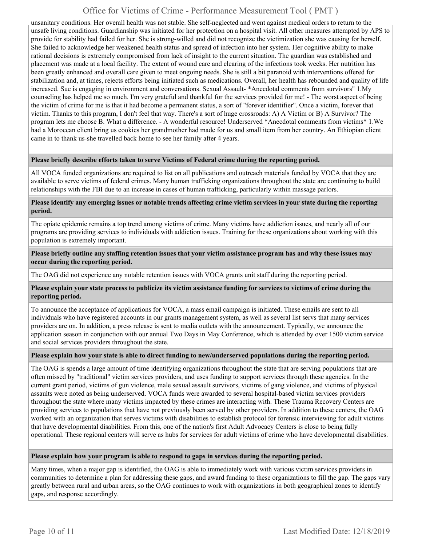unsanitary conditions. Her overall health was not stable. She self-neglected and went against medical orders to return to the unsafe living conditions. Guardianship was initiated for her protection on a hospital visit. All other measures attempted by APS to provide for stability had failed for her. She is strong-willed and did not recognize the victimization she was causing for herself. She failed to acknowledge her weakened health status and spread of infection into her system. Her cognitive ability to make rational decisions is extremely compromised from lack of insight to the current situation. The guardian was established and placement was made at a local facility. The extent of wound care and clearing of the infections took weeks. Her nutrition has been greatly enhanced and overall care given to meet ongoing needs. She is still a bit paranoid with interventions offered for stabilization and, at times, rejects efforts being initiated such as medications. Overall, her health has rebounded and quality of life increased. Sue is engaging in environment and conversations. Sexual Assault- \*Anecdotal comments from survivors" 1.My counseling has helped me so much. I'm very grateful and thankful for the services provided for me! - The worst aspect of being the victim of crime for me is that it had become a permanent status, a sort of "forever identifier". Once a victim, forever that victim. Thanks to this program, I don't feel that way. There's a sort of huge crossroads: A) A Victim or B) A Survivor? The program lets me choose B. What a difference. - A wonderful resource! Underserved \*Anecdotal comments from victims\* 1.We had a Moroccan client bring us cookies her grandmother had made for us and small item from her country. An Ethiopian client came in to thank us-she travelled back home to see her family after 4 years.

#### **Please briefly describe efforts taken to serve Victims of Federal crime during the reporting period.**

All VOCA funded organizations are required to list on all publications and outreach materials funded by VOCA that they are available to serve victims of federal crimes. Many human trafficking organizations throughout the state are continuing to build relationships with the FBI due to an increase in cases of human trafficking, particularly within massage parlors.

**Please identify any emerging issues or notable trends affecting crime victim services in your state during the reporting period.** 

The opiate epidemic remains a top trend among victims of crime. Many victims have addiction issues, and nearly all of our programs are providing services to individuals with addiction issues. Training for these organizations about working with this population is extremely important.

**Please briefly outline any staffing retention issues that your victim assistance program has and why these issues may occur during the reporting period.** 

The OAG did not experience any notable retention issues with VOCA grants unit staff during the reporting period.

#### **Please explain your state process to publicize its victim assistance funding for services to victims of crime during the reporting period.**

To announce the acceptance of applications for VOCA, a mass email campaign is initiated. These emails are sent to all individuals who have registered accounts in our grants management system, as well as several list servs that many services providers are on. In addition, a press release is sent to media outlets with the announcement. Typically, we announce the application season in conjunction with our annual Two Days in May Conference, which is attended by over 1500 victim service and social services providers throughout the state.

#### **Please explain how your state is able to direct funding to new/underserved populations during the reporting period.**

The OAG is spends a large amount of time identifying organizations throughout the state that are serving populations that are often missed by "traditional" victim services providers, and uses funding to support services through these agencies. In the current grant period, victims of gun violence, male sexual assault survivors, victims of gang violence, and victims of physical assaults were noted as being underserved. VOCA funds were awarded to several hospital-based victim services providers throughout the state where many victims impacted by these crimes are interacting with. These Trauma Recovery Centers are providing services to populations that have not previously been served by other providers. In addition to these centers, the OAG worked with an organization that serves victims with disabilities to establish protocol for forensic interviewing for adult victims that have developmental disabilities. From this, one of the nation's first Adult Advocacy Centers is close to being fully operational. These regional centers will serve as hubs for services for adult victims of crime who have developmental disabilities.

#### **Please explain how your program is able to respond to gaps in services during the reporting period.**

Many times, when a major gap is identified, the OAG is able to immediately work with various victim services providers in communities to determine a plan for addressing these gaps, and award funding to these organizations to fill the gap. The gaps vary greatly between rural and urban areas, so the OAG continues to work with organizations in both geographical zones to identify gaps, and response accordingly.